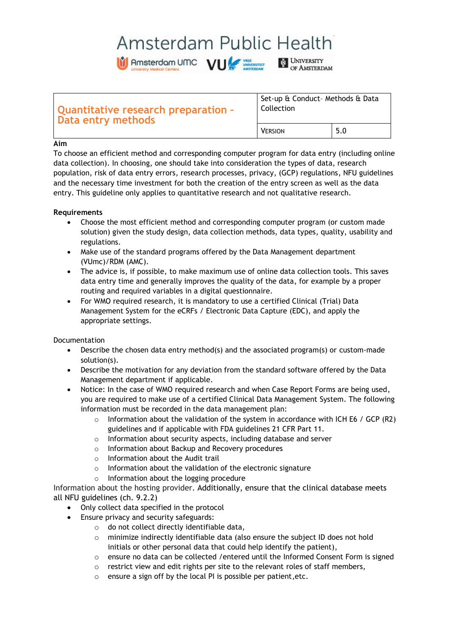# Amsterdam Public Health

Amsterdam UMC VU

UNIVERSITY

OF AMSTERDAM

**Quantitative research preparation – Data entry methods** Set-up & Conduct– Methods & Data Collection VERSION 5.0

# **Aim**

To choose an efficient method and corresponding computer program for data entry (including online data collection). In choosing, one should take into consideration the types of data, research population, risk of data entry errors, research processes, privacy, (GCP) regulations, NFU guidelines and the necessary time investment for both the creation of the entry screen as well as the data entry. This guideline only applies to quantitative research and not qualitative research.

# **Requirements**

- Choose the most efficient method and corresponding computer program (or custom made solution) given the study design, data collection methods, data types, quality, usability and regulations.
- Make use of the standard programs offered by the Data Management department (VUmc)/RDM (AMC).
- The advice is, if possible, to make maximum use of online data collection tools. This saves data entry time and generally improves the quality of the data, for example by a proper routing and required variables in a digital questionnaire.
- For WMO required research, it is mandatory to use a certified Clinical (Trial) Data Management System for the eCRFs / Electronic Data Capture (EDC), and apply the appropriate settings.

Documentation

- Describe the chosen data entry method(s) and the associated program(s) or custom-made solution(s).
- Describe the motivation for any deviation from the standard software offered by the Data Management department if applicable.
- Notice: In the case of WMO required research and when Case Report Forms are being used, you are required to make use of a certified Clinical Data Management System. The following information must be recorded in the data management plan:
	- $\circ$  Information about the validation of the system in accordance with ICH E6 / GCP (R2) guidelines and if applicable with FDA guidelines 21 CFR Part 11.
	- o Information about security aspects, including database and server
	- o Information about Backup and Recovery procedures
	- o Information about the Audit trail
	- o Information about the validation of the electronic signature
	- o Information about the logging procedure

Information about the hosting provider. Additionally, ensure that the clinical database meets all NFU guidelines (ch. 9.2.2)

- Only collect data specified in the protocol
- Ensure privacy and security safeguards:
	- o do not collect directly identifiable data,
	- $\circ$  minimize indirectly identifiable data (also ensure the subject ID does not hold initials or other personal data that could help identify the patient),
	- o ensure no data can be collected /entered until the Informed Consent Form is signed
	- $\circ$  restrict view and edit rights per site to the relevant roles of staff members,
	- o ensure a sign off by the local PI is possible per patient,etc.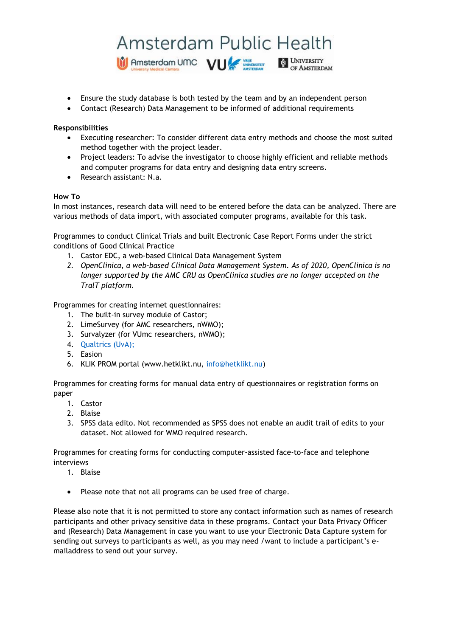# Amsterdam Public Health Amsterdam UMC VU **E UNIVERSITY**<br>OF AMSTERDAM

- Ensure the study database is both tested by the team and by an independent person
- Contact (Research) Data Management to be informed of additional requirements

## **Responsibilities**

- Executing researcher: To consider different data entry methods and choose the most suited method together with the project leader.
- Project leaders: To advise the investigator to choose highly efficient and reliable methods and computer programs for data entry and designing data entry screens.
- Research assistant: N.a.

### **How To**

In most instances, research data will need to be entered before the data can be analyzed. There are various methods of data import, with associated computer programs, available for this task.

Programmes to conduct Clinical Trials and built Electronic Case Report Forms under the strict conditions of Good Clinical Practice

- 1. Castor EDC, a web-based Clinical Data Management System
- *2. OpenClinica, a web-based Clinical Data Management System. As of 2020, OpenClinica is no longer supported by the AMC CRU as OpenClinica studies are no longer accepted on the TralT platform.*

Programmes for creating internet questionnaires:

- 1. The built-in survey module of Castor;
- 2. LimeSurvey (for AMC researchers, nWMO);
- 3. Survalyzer (for VUmc researchers, nWMO);
- 4. [Qualtrics](https://rsp.uva.nl/uitvoeren/informatie-verzamelen/online-vragenlijsten/online-vragenlijsten.html?cb) (UvA);
- 5. Easion
- 6. KLIK PROM portal (www.hetklikt.nu, [info@hetklikt.nu\)](mailto:info@hetklikt.nu)

Programmes for creating forms for manual data entry of questionnaires or registration forms on paper

- 1. Castor
- 2. Blaise
- 3. SPSS data edito. Not recommended as SPSS does not enable an audit trail of edits to your dataset. Not allowed for WMO required research.

Programmes for creating forms for conducting computer-assisted face-to-face and telephone interviews

- 1. Blaise
- Please note that not all programs can be used free of charge.

Please also note that it is not permitted to store any contact information such as names of research participants and other privacy sensitive data in these programs. Contact your Data Privacy Officer and (Research) Data Management in case you want to use your Electronic Data Capture system for sending out surveys to participants as well, as you may need /want to include a participant's emailaddress to send out your survey.